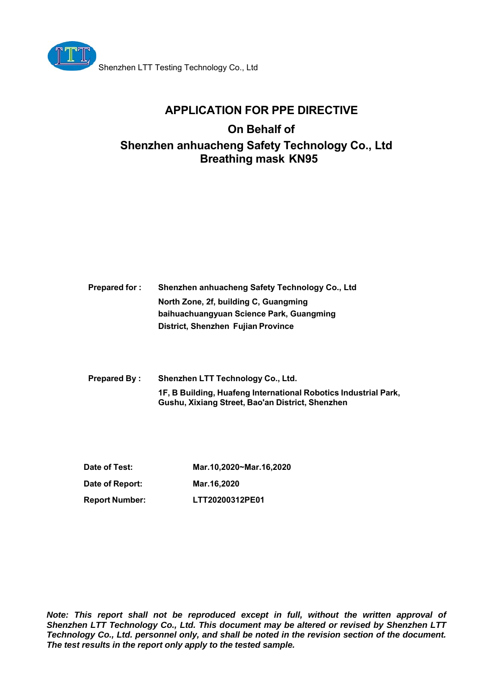

## **APPLICATION FOR PPE DIRECTIVE**

# **On Behalf of Shenzhen anhuacheng Safety Technology Co., Ltd Breathing mask KN95**

| <b>Prepared for:</b> | Shenzhen anhuacheng Safety Technology Co., Ltd |
|----------------------|------------------------------------------------|
|                      | North Zone, 2f, building C, Guangming          |
|                      | baihuachuangyuan Science Park, Guangming       |
|                      | District, Shenzhen Fujian Province             |

**Prepared By : Shenzhen LTT Technology Co., Ltd. 1F, B Building, Huafeng International Robotics Industrial Park, Gushu, Xixiang Street, Bao'an District, Shenzhen**

**Date of Test: Mar.10,2020~Mar.16,2020 Date of Report: Mar.16,2020 Report Number: LTT20200312PE01**

*Note: This report shall not be reproduced except in full, without the written approval of Shenzhen LTT Technology Co., Ltd. This document may be altered or revised by Shenzhen LTT Technology Co., Ltd. personnel only, and shall be noted in the revision section of the document. The test results in the report only apply to the tested sample.*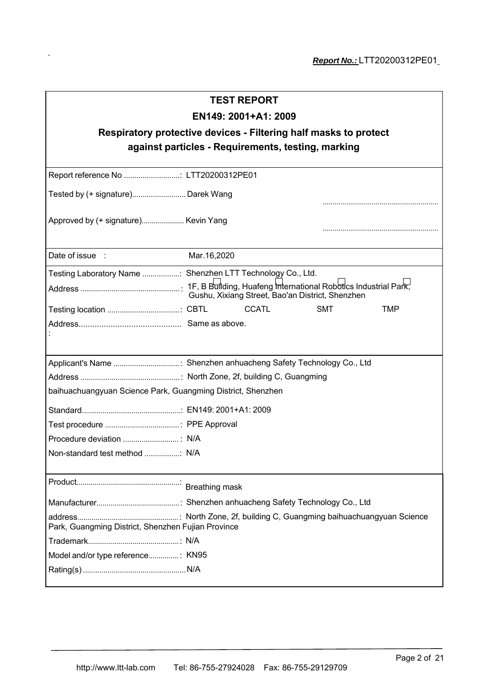| <b>TEST REPORT</b>                                          |                                                                  |  |  |
|-------------------------------------------------------------|------------------------------------------------------------------|--|--|
| EN149: 2001+A1: 2009                                        |                                                                  |  |  |
|                                                             | Respiratory protective devices - Filtering half masks to protect |  |  |
|                                                             | against particles - Requirements, testing, marking               |  |  |
|                                                             |                                                                  |  |  |
| Report reference No  LTT20200312PE01                        |                                                                  |  |  |
| Tested by (+ signature) Darek Wang                          |                                                                  |  |  |
|                                                             |                                                                  |  |  |
| Approved by (+ signature) Kevin Yang                        |                                                                  |  |  |
|                                                             |                                                                  |  |  |
| Date of issue :                                             | Mar.16,2020                                                      |  |  |
|                                                             | Testing Laboratory Name  Shenzhen LTT Technology Co., Ltd.       |  |  |
|                                                             | Gushu, Xixiang Street, Bao'an District, Shenzhen                 |  |  |
|                                                             | <b>CCATL</b><br><b>SMT</b><br><b>TMP</b>                         |  |  |
|                                                             |                                                                  |  |  |
|                                                             |                                                                  |  |  |
|                                                             |                                                                  |  |  |
|                                                             |                                                                  |  |  |
| baihuachuangyuan Science Park, Guangming District, Shenzhen |                                                                  |  |  |
|                                                             |                                                                  |  |  |
|                                                             |                                                                  |  |  |
|                                                             |                                                                  |  |  |
| Non-standard test method  N/A                               |                                                                  |  |  |
|                                                             |                                                                  |  |  |
|                                                             |                                                                  |  |  |
|                                                             |                                                                  |  |  |
| Park, Guangming District, Shenzhen Fujian Province          |                                                                  |  |  |
|                                                             |                                                                  |  |  |
| Model and/or type reference KN95                            |                                                                  |  |  |
|                                                             |                                                                  |  |  |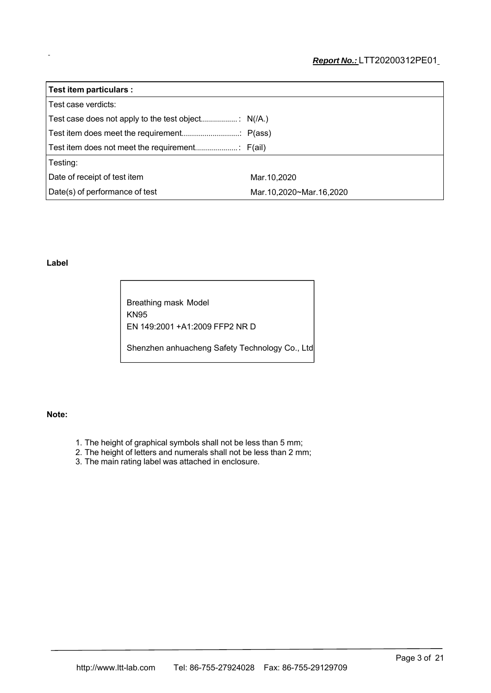| Test item particulars :        |                         |
|--------------------------------|-------------------------|
| Test case verdicts:            |                         |
|                                |                         |
|                                |                         |
|                                |                         |
| Testing:                       |                         |
| Date of receipt of test item   | Mar.10,2020             |
| Date(s) of performance of test | Mar.10,2020~Mar.16,2020 |

#### **Label**

Breathing mask Model KN95 EN 149:2001 +A1:2009 FFP2 NR D Shenzhen anhuacheng Safety Technology Co., Ltd

#### **Note:**

- 1. The height of graphical symbols shall not be less than 5 mm;
- 2. The height of letters and numerals shall not be less than 2 mm;
- 3. The main rating label was attached in enclosure.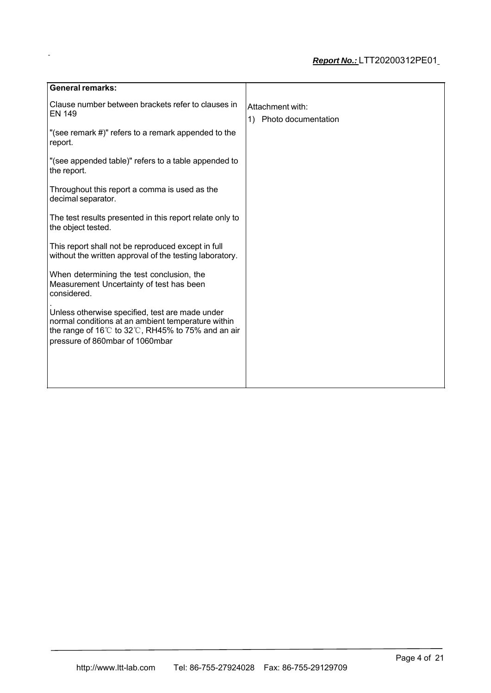| <b>General remarks:</b>                                                                                                                                                                        |                                               |
|------------------------------------------------------------------------------------------------------------------------------------------------------------------------------------------------|-----------------------------------------------|
| Clause number between brackets refer to clauses in<br><b>EN 149</b>                                                                                                                            | Attachment with:<br>1)<br>Photo documentation |
| "(see remark #)" refers to a remark appended to the<br>report.                                                                                                                                 |                                               |
| "(see appended table)" refers to a table appended to<br>the report.                                                                                                                            |                                               |
| Throughout this report a comma is used as the<br>decimal separator.                                                                                                                            |                                               |
| The test results presented in this report relate only to<br>the object tested.                                                                                                                 |                                               |
| This report shall not be reproduced except in full<br>without the written approval of the testing laboratory.                                                                                  |                                               |
| When determining the test conclusion, the<br>Measurement Uncertainty of test has been<br>considered.                                                                                           |                                               |
| Unless otherwise specified, test are made under<br>normal conditions at an ambient temperature within<br>the range of 16°C to 32°C, RH45% to 75% and an air<br>pressure of 860mbar of 1060mbar |                                               |
|                                                                                                                                                                                                |                                               |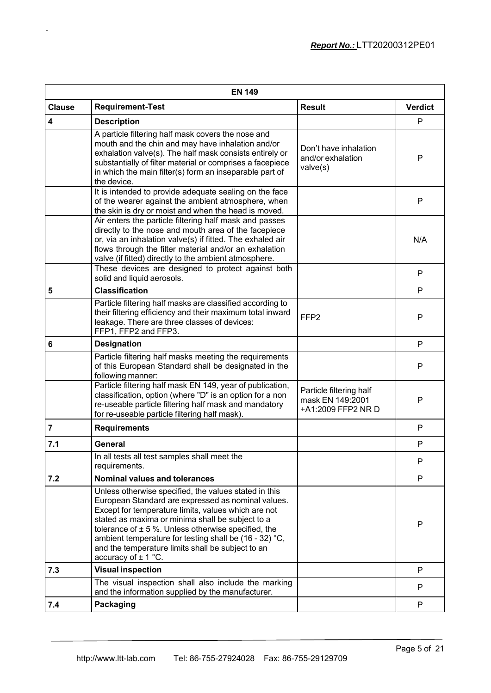|                         | <b>EN 149</b>                                                                                                                                                                                                                                                                                                                                                                                                               |                                                                   |                |
|-------------------------|-----------------------------------------------------------------------------------------------------------------------------------------------------------------------------------------------------------------------------------------------------------------------------------------------------------------------------------------------------------------------------------------------------------------------------|-------------------------------------------------------------------|----------------|
| <b>Clause</b>           | <b>Requirement-Test</b>                                                                                                                                                                                                                                                                                                                                                                                                     | <b>Result</b>                                                     | <b>Verdict</b> |
| $\overline{\mathbf{4}}$ | <b>Description</b>                                                                                                                                                                                                                                                                                                                                                                                                          |                                                                   | P              |
|                         | A particle filtering half mask covers the nose and<br>mouth and the chin and may have inhalation and/or<br>exhalation valve(s). The half mask consists entirely or<br>substantially of filter material or comprises a facepiece<br>in which the main filter(s) form an inseparable part of<br>the device.                                                                                                                   | Don't have inhalation<br>and/or exhalation<br>valve(s)            | $\mathsf{P}$   |
|                         | It is intended to provide adequate sealing on the face<br>of the wearer against the ambient atmosphere, when<br>the skin is dry or moist and when the head is moved.                                                                                                                                                                                                                                                        |                                                                   | P              |
|                         | Air enters the particle filtering half mask and passes<br>directly to the nose and mouth area of the facepiece<br>or, via an inhalation valve(s) if fitted. The exhaled air<br>flows through the filter material and/or an exhalation<br>valve (if fitted) directly to the ambient atmosphere.                                                                                                                              |                                                                   | N/A            |
|                         | These devices are designed to protect against both<br>solid and liquid aerosols.                                                                                                                                                                                                                                                                                                                                            |                                                                   | P              |
| 5                       | <b>Classification</b>                                                                                                                                                                                                                                                                                                                                                                                                       |                                                                   | P              |
|                         | Particle filtering half masks are classified according to<br>their filtering efficiency and their maximum total inward<br>leakage. There are three classes of devices:<br>FFP1, FFP2 and FFP3.                                                                                                                                                                                                                              | FFP <sub>2</sub>                                                  | P              |
| $6\phantom{1}6$         | <b>Designation</b>                                                                                                                                                                                                                                                                                                                                                                                                          |                                                                   | P              |
|                         | Particle filtering half masks meeting the requirements<br>of this European Standard shall be designated in the<br>following manner:                                                                                                                                                                                                                                                                                         |                                                                   | P              |
|                         | Particle filtering half mask EN 149, year of publication,<br>classification, option (where "D" is an option for a non<br>re-useable particle filtering half mask and mandatory<br>for re-useable particle filtering half mask).                                                                                                                                                                                             | Particle filtering half<br>mask EN 149:2001<br>+A1:2009 FFP2 NR D | P              |
| $\overline{7}$          | <b>Requirements</b>                                                                                                                                                                                                                                                                                                                                                                                                         |                                                                   | P              |
| 7.1                     | General                                                                                                                                                                                                                                                                                                                                                                                                                     |                                                                   | P              |
|                         | In all tests all test samples shall meet the<br>requirements.                                                                                                                                                                                                                                                                                                                                                               |                                                                   | P              |
| 7.2                     | <b>Nominal values and tolerances</b>                                                                                                                                                                                                                                                                                                                                                                                        |                                                                   | P              |
|                         | Unless otherwise specified, the values stated in this<br>European Standard are expressed as nominal values.<br>Except for temperature limits, values which are not<br>stated as maxima or minima shall be subject to a<br>tolerance of $\pm$ 5 %. Unless otherwise specified, the<br>ambient temperature for testing shall be (16 - 32) °C,<br>and the temperature limits shall be subject to an<br>accuracy of $\pm$ 1 °C. |                                                                   | P              |
| 7.3                     | <b>Visual inspection</b>                                                                                                                                                                                                                                                                                                                                                                                                    |                                                                   | P              |
|                         | The visual inspection shall also include the marking<br>and the information supplied by the manufacturer.                                                                                                                                                                                                                                                                                                                   |                                                                   | P              |
| 7.4                     | Packaging                                                                                                                                                                                                                                                                                                                                                                                                                   |                                                                   | P              |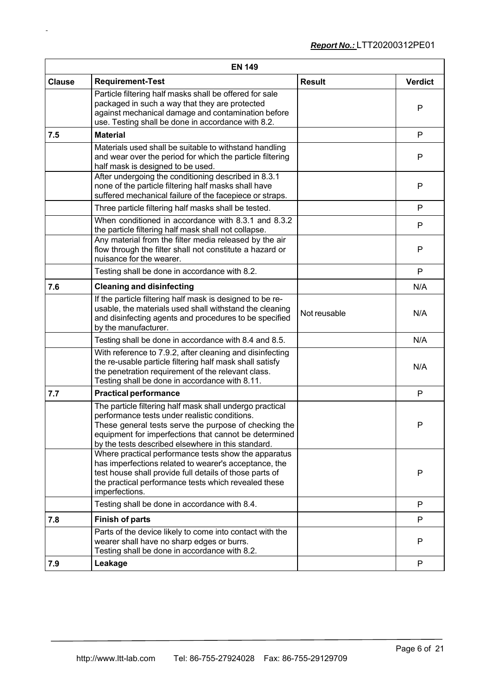| <b>EN 149</b> |                                                                                                                                                                                                                                                                                   |               |                |
|---------------|-----------------------------------------------------------------------------------------------------------------------------------------------------------------------------------------------------------------------------------------------------------------------------------|---------------|----------------|
| <b>Clause</b> | <b>Requirement-Test</b>                                                                                                                                                                                                                                                           | <b>Result</b> | <b>Verdict</b> |
|               | Particle filtering half masks shall be offered for sale<br>packaged in such a way that they are protected<br>against mechanical damage and contamination before<br>use. Testing shall be done in accordance with 8.2.                                                             |               | P              |
| 7.5           | <b>Material</b>                                                                                                                                                                                                                                                                   |               | P              |
|               | Materials used shall be suitable to withstand handling<br>and wear over the period for which the particle filtering<br>half mask is designed to be used.                                                                                                                          |               | P              |
|               | After undergoing the conditioning described in 8.3.1<br>none of the particle filtering half masks shall have<br>suffered mechanical failure of the facepiece or straps.                                                                                                           |               | P              |
|               | Three particle filtering half masks shall be tested.                                                                                                                                                                                                                              |               | P              |
|               | When conditioned in accordance with 8.3.1 and 8.3.2<br>the particle filtering half mask shall not collapse.                                                                                                                                                                       |               | P              |
|               | Any material from the filter media released by the air<br>flow through the filter shall not constitute a hazard or<br>nuisance for the wearer.                                                                                                                                    |               | P              |
|               | Testing shall be done in accordance with 8.2.                                                                                                                                                                                                                                     |               | P              |
| 7.6           | <b>Cleaning and disinfecting</b>                                                                                                                                                                                                                                                  |               | N/A            |
|               | If the particle filtering half mask is designed to be re-<br>usable, the materials used shall withstand the cleaning<br>and disinfecting agents and procedures to be specified<br>by the manufacturer.                                                                            | Not reusable  | N/A            |
|               | Testing shall be done in accordance with 8.4 and 8.5.                                                                                                                                                                                                                             |               | N/A            |
|               | With reference to 7.9.2, after cleaning and disinfecting<br>the re-usable particle filtering half mask shall satisfy<br>the penetration requirement of the relevant class.<br>Testing shall be done in accordance with 8.11.                                                      |               | N/A            |
| 7.7           | <b>Practical performance</b>                                                                                                                                                                                                                                                      |               | P              |
|               | The particle filtering half mask shall undergo practical<br>performance tests under realistic conditions.<br>These general tests serve the purpose of checking the<br>equipment for imperfections that cannot be determined<br>by the tests described elsewhere in this standard. |               | P              |
|               | Where practical performance tests show the apparatus<br>has imperfections related to wearer's acceptance, the<br>test house shall provide full details of those parts of<br>the practical performance tests which revealed these<br>imperfections.                                |               | P              |
|               | Testing shall be done in accordance with 8.4.                                                                                                                                                                                                                                     |               | P              |
| 7.8           | <b>Finish of parts</b>                                                                                                                                                                                                                                                            |               | P              |
|               | Parts of the device likely to come into contact with the<br>wearer shall have no sharp edges or burrs.<br>Testing shall be done in accordance with 8.2.                                                                                                                           |               | P              |
| 7.9           | Leakage                                                                                                                                                                                                                                                                           |               | P              |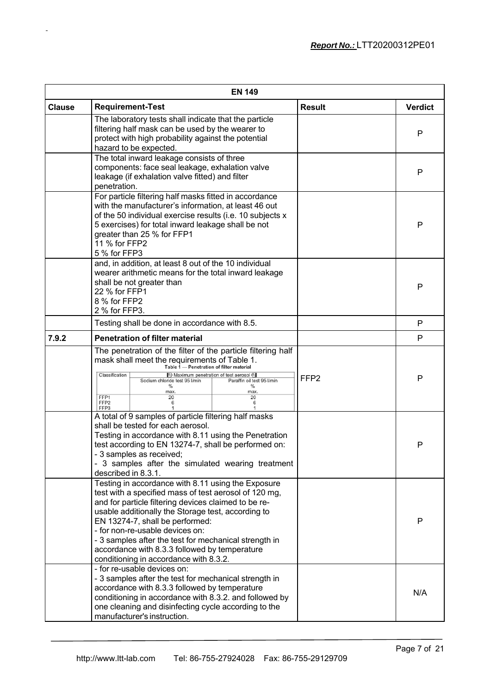|               | <b>EN 149</b>                                                                                                                                                                                                                                                                                                                                                                                                                                       |                  |                |  |
|---------------|-----------------------------------------------------------------------------------------------------------------------------------------------------------------------------------------------------------------------------------------------------------------------------------------------------------------------------------------------------------------------------------------------------------------------------------------------------|------------------|----------------|--|
| <b>Clause</b> | <b>Requirement-Test</b>                                                                                                                                                                                                                                                                                                                                                                                                                             | <b>Result</b>    | <b>Verdict</b> |  |
|               | The laboratory tests shall indicate that the particle<br>filtering half mask can be used by the wearer to<br>protect with high probability against the potential<br>hazard to be expected.                                                                                                                                                                                                                                                          |                  | P              |  |
|               | The total inward leakage consists of three<br>components: face seal leakage, exhalation valve<br>leakage (if exhalation valve fitted) and filter<br>penetration.                                                                                                                                                                                                                                                                                    |                  | P              |  |
|               | For particle filtering half masks fitted in accordance<br>with the manufacturer's information, at least 46 out<br>of the 50 individual exercise results (i.e. 10 subjects x<br>5 exercises) for total inward leakage shall be not<br>greater than 25 % for FFP1<br>11 % for FFP2<br>5 % for FFP3                                                                                                                                                    |                  | P              |  |
|               | and, in addition, at least 8 out of the 10 individual<br>wearer arithmetic means for the total inward leakage<br>shall be not greater than<br>22 % for FFP1<br>8 % for FFP2<br>2 % for FFP3.                                                                                                                                                                                                                                                        |                  | P              |  |
|               | Testing shall be done in accordance with 8.5.                                                                                                                                                                                                                                                                                                                                                                                                       |                  | P              |  |
| 7.9.2         | <b>Penetration of filter material</b>                                                                                                                                                                                                                                                                                                                                                                                                               |                  | P              |  |
|               | The penetration of the filter of the particle filtering half<br>mask shall meet the requirements of Table 1.<br>Table 1<br>- Penetration of filter material<br>Maximum penetration of test aerosol <a>[</a><br>Classification<br>Paraffin oil test 95 I/min<br>Sodium chloride test 95 I/min<br>%<br>%<br>max.<br>max.<br>FFP1<br>20<br>20<br>FFP <sub>2</sub><br>6<br>6<br>FFP3                                                                    | FFP <sub>2</sub> | P              |  |
|               | A total of 9 samples of particle filtering half masks<br>shall be tested for each aerosol.<br>Testing in accordance with 8.11 using the Penetration<br>test according to EN 13274-7, shall be performed on:<br>3 samples as received;<br>- 3 samples after the simulated wearing treatment<br>described in 8.3.1.                                                                                                                                   |                  | P              |  |
|               | Testing in accordance with 8.11 using the Exposure<br>test with a specified mass of test aerosol of 120 mg,<br>and for particle filtering devices claimed to be re-<br>usable additionally the Storage test, according to<br>EN 13274-7, shall be performed:<br>- for non-re-usable devices on:<br>- 3 samples after the test for mechanical strength in<br>accordance with 8.3.3 followed by temperature<br>conditioning in accordance with 8.3.2. |                  | P              |  |
|               | - for re-usable devices on:<br>- 3 samples after the test for mechanical strength in<br>accordance with 8.3.3 followed by temperature<br>conditioning in accordance with 8.3.2. and followed by<br>one cleaning and disinfecting cycle according to the<br>manufacturer's instruction.                                                                                                                                                              |                  | N/A            |  |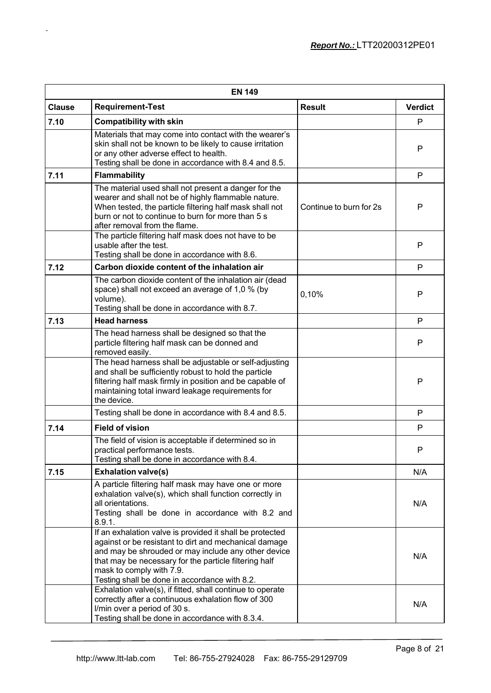|               | <b>EN 149</b>                                                                                                                                                                                                                                                                                                                                                               |                         |                |  |
|---------------|-----------------------------------------------------------------------------------------------------------------------------------------------------------------------------------------------------------------------------------------------------------------------------------------------------------------------------------------------------------------------------|-------------------------|----------------|--|
| <b>Clause</b> | <b>Requirement-Test</b>                                                                                                                                                                                                                                                                                                                                                     | <b>Result</b>           | <b>Verdict</b> |  |
| 7.10          | <b>Compatibility with skin</b>                                                                                                                                                                                                                                                                                                                                              |                         | P              |  |
|               | Materials that may come into contact with the wearer's<br>skin shall not be known to be likely to cause irritation<br>or any other adverse effect to health.<br>Testing shall be done in accordance with 8.4 and 8.5.                                                                                                                                                       |                         | P              |  |
| 7.11          | <b>Flammability</b>                                                                                                                                                                                                                                                                                                                                                         |                         | P              |  |
|               | The material used shall not present a danger for the<br>wearer and shall not be of highly flammable nature.<br>When tested, the particle filtering half mask shall not<br>burn or not to continue to burn for more than 5 s<br>after removal from the flame.                                                                                                                | Continue to burn for 2s | P              |  |
|               | The particle filtering half mask does not have to be<br>usable after the test.<br>Testing shall be done in accordance with 8.6.                                                                                                                                                                                                                                             |                         | P              |  |
| 7.12          | Carbon dioxide content of the inhalation air                                                                                                                                                                                                                                                                                                                                |                         | P              |  |
|               | The carbon dioxide content of the inhalation air (dead<br>space) shall not exceed an average of 1,0 % (by<br>volume).<br>Testing shall be done in accordance with 8.7.                                                                                                                                                                                                      | 0,10%                   | P              |  |
| 7.13          | <b>Head harness</b>                                                                                                                                                                                                                                                                                                                                                         |                         | P              |  |
|               | The head harness shall be designed so that the<br>particle filtering half mask can be donned and<br>removed easily.                                                                                                                                                                                                                                                         |                         | P              |  |
|               | The head harness shall be adjustable or self-adjusting<br>and shall be sufficiently robust to hold the particle<br>filtering half mask firmly in position and be capable of<br>maintaining total inward leakage requirements for<br>the device.                                                                                                                             |                         | P              |  |
|               | Testing shall be done in accordance with 8.4 and 8.5.                                                                                                                                                                                                                                                                                                                       |                         | P              |  |
| 7.14          | <b>Field of vision</b>                                                                                                                                                                                                                                                                                                                                                      |                         | P              |  |
|               | The field of vision is acceptable if determined so in<br>practical performance tests.<br>Testing shall be done in accordance with 8.4.                                                                                                                                                                                                                                      |                         | P              |  |
| 7.15          | <b>Exhalation valve(s)</b>                                                                                                                                                                                                                                                                                                                                                  |                         | N/A            |  |
|               | A particle filtering half mask may have one or more<br>exhalation valve(s), which shall function correctly in<br>all orientations.<br>Testing shall be done in accordance with 8.2 and<br>8.9.1.                                                                                                                                                                            |                         | N/A            |  |
|               | If an exhalation valve is provided it shall be protected<br>against or be resistant to dirt and mechanical damage<br>and may be shrouded or may include any other device<br>that may be necessary for the particle filtering half<br>mask to comply with 7.9.<br>Testing shall be done in accordance with 8.2.<br>Exhalation valve(s), if fitted, shall continue to operate |                         | N/A            |  |
|               | correctly after a continuous exhalation flow of 300<br>I/min over a period of 30 s.<br>Testing shall be done in accordance with 8.3.4.                                                                                                                                                                                                                                      |                         | N/A            |  |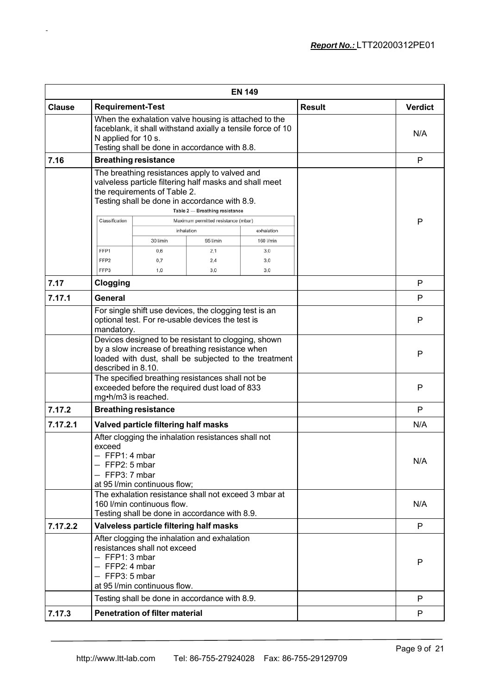| <b>EN 149</b> |                                                                                                                                                                                                                            |            |                                               |            |               |                |
|---------------|----------------------------------------------------------------------------------------------------------------------------------------------------------------------------------------------------------------------------|------------|-----------------------------------------------|------------|---------------|----------------|
| <b>Clause</b> | <b>Requirement-Test</b>                                                                                                                                                                                                    |            |                                               |            | <b>Result</b> | <b>Verdict</b> |
|               | When the exhalation valve housing is attached to the<br>faceblank, it shall withstand axially a tensile force of 10<br>N applied for 10 s.<br>Testing shall be done in accordance with 8.8.                                |            |                                               |            |               | N/A            |
| 7.16          | <b>Breathing resistance</b>                                                                                                                                                                                                |            |                                               |            |               | P              |
|               | The breathing resistances apply to valved and<br>valveless particle filtering half masks and shall meet<br>the requirements of Table 2.<br>Testing shall be done in accordance with 8.9.<br>Table 2 - Breathing resistance |            |                                               |            |               |                |
|               | Classification                                                                                                                                                                                                             | inhalation | Maximum permitted resistance (mbar)           | exhalation |               | P              |
|               |                                                                                                                                                                                                                            | 30 I/min   | 95 l/min                                      | 160 I/min  |               |                |
|               | FFP1                                                                                                                                                                                                                       | 0,6        | 2,1                                           | 3,0        |               |                |
|               | FFP <sub>2</sub>                                                                                                                                                                                                           | 0,7        | 2,4                                           | 3,0        |               |                |
|               | FFP3                                                                                                                                                                                                                       | 1.0        | 3.0                                           | 3.0        |               |                |
| 7.17          | Clogging                                                                                                                                                                                                                   |            |                                               |            |               | P              |
| 7.17.1        | General                                                                                                                                                                                                                    |            |                                               |            |               | P              |
|               | For single shift use devices, the clogging test is an<br>optional test. For re-usable devices the test is<br>mandatory.                                                                                                    |            |                                               |            |               | P              |
|               | Devices designed to be resistant to clogging, shown<br>by a slow increase of breathing resistance when<br>loaded with dust, shall be subjected to the treatment<br>described in 8.10.                                      |            |                                               |            |               | P              |
|               | The specified breathing resistances shall not be<br>exceeded before the required dust load of 833<br>mg•h/m3 is reached.                                                                                                   |            |                                               |            |               | P              |
| 7.17.2        | <b>Breathing resistance</b>                                                                                                                                                                                                |            |                                               |            |               | P              |
| 7.17.2.1      | Valved particle filtering half masks                                                                                                                                                                                       |            |                                               |            |               | N/A            |
|               | After clogging the inhalation resistances shall not<br>exceed<br>$-$ FFP1: 4 mbar<br>$-$ FFP2: 5 mbar<br>$-$ FFP3: 7 mbar<br>at 95 I/min continuous flow;                                                                  |            |                                               |            |               | N/A            |
|               | The exhalation resistance shall not exceed 3 mbar at<br>160 I/min continuous flow.<br>Testing shall be done in accordance with 8.9.                                                                                        |            |                                               |            |               | N/A            |
| 7.17.2.2      |                                                                                                                                                                                                                            |            | Valveless particle filtering half masks       |            |               | P              |
|               | After clogging the inhalation and exhalation<br>resistances shall not exceed<br>$-$ FFP1: 3 mbar<br>$-$ FFP2: 4 mbar<br>$-$ FFP3: 5 mbar<br>at 95 I/min continuous flow.                                                   |            |                                               |            |               | P              |
|               |                                                                                                                                                                                                                            |            | Testing shall be done in accordance with 8.9. |            |               | P              |
| 7.17.3        | <b>Penetration of filter material</b>                                                                                                                                                                                      |            |                                               |            | P             |                |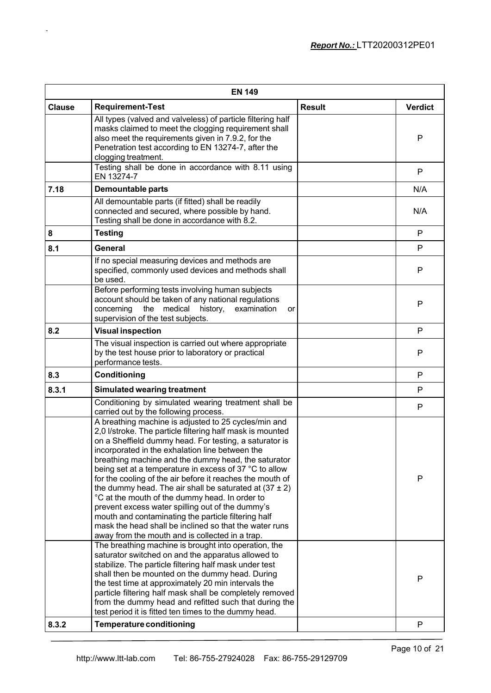|               | <b>EN 149</b>                                                                                                                                                                                                                                                                                                                                                                                                                                                                                                                                                                                                                                                                                                                                        |               |                |  |
|---------------|------------------------------------------------------------------------------------------------------------------------------------------------------------------------------------------------------------------------------------------------------------------------------------------------------------------------------------------------------------------------------------------------------------------------------------------------------------------------------------------------------------------------------------------------------------------------------------------------------------------------------------------------------------------------------------------------------------------------------------------------------|---------------|----------------|--|
| <b>Clause</b> | <b>Requirement-Test</b>                                                                                                                                                                                                                                                                                                                                                                                                                                                                                                                                                                                                                                                                                                                              | <b>Result</b> | <b>Verdict</b> |  |
|               | All types (valved and valveless) of particle filtering half<br>masks claimed to meet the clogging requirement shall<br>also meet the requirements given in 7.9.2, for the<br>Penetration test according to EN 13274-7, after the<br>clogging treatment.<br>Testing shall be done in accordance with 8.11 using                                                                                                                                                                                                                                                                                                                                                                                                                                       |               | P              |  |
|               | EN 13274-7                                                                                                                                                                                                                                                                                                                                                                                                                                                                                                                                                                                                                                                                                                                                           |               | P              |  |
| 7.18          | <b>Demountable parts</b>                                                                                                                                                                                                                                                                                                                                                                                                                                                                                                                                                                                                                                                                                                                             |               | N/A            |  |
|               | All demountable parts (if fitted) shall be readily<br>connected and secured, where possible by hand.<br>Testing shall be done in accordance with 8.2.                                                                                                                                                                                                                                                                                                                                                                                                                                                                                                                                                                                                |               | N/A            |  |
| 8             | <b>Testing</b>                                                                                                                                                                                                                                                                                                                                                                                                                                                                                                                                                                                                                                                                                                                                       |               | $\mathsf{P}$   |  |
| 8.1           | <b>General</b>                                                                                                                                                                                                                                                                                                                                                                                                                                                                                                                                                                                                                                                                                                                                       |               | $\mathsf{P}$   |  |
|               | If no special measuring devices and methods are<br>specified, commonly used devices and methods shall<br>be used.                                                                                                                                                                                                                                                                                                                                                                                                                                                                                                                                                                                                                                    |               | P              |  |
|               | Before performing tests involving human subjects<br>account should be taken of any national regulations<br>the medical<br>concerning<br>history,<br>examination<br>or<br>supervision of the test subjects.                                                                                                                                                                                                                                                                                                                                                                                                                                                                                                                                           |               | P              |  |
| 8.2           | <b>Visual inspection</b>                                                                                                                                                                                                                                                                                                                                                                                                                                                                                                                                                                                                                                                                                                                             |               | P              |  |
|               | The visual inspection is carried out where appropriate<br>by the test house prior to laboratory or practical<br>performance tests.                                                                                                                                                                                                                                                                                                                                                                                                                                                                                                                                                                                                                   |               | P              |  |
| 8.3           | Conditioning                                                                                                                                                                                                                                                                                                                                                                                                                                                                                                                                                                                                                                                                                                                                         |               | P              |  |
| 8.3.1         | <b>Simulated wearing treatment</b>                                                                                                                                                                                                                                                                                                                                                                                                                                                                                                                                                                                                                                                                                                                   |               | P              |  |
|               | Conditioning by simulated wearing treatment shall be                                                                                                                                                                                                                                                                                                                                                                                                                                                                                                                                                                                                                                                                                                 |               | $\mathsf{P}$   |  |
|               | carried out by the following process.                                                                                                                                                                                                                                                                                                                                                                                                                                                                                                                                                                                                                                                                                                                |               |                |  |
|               | A breathing machine is adjusted to 25 cycles/min and<br>2,0 I/stroke. The particle filtering half mask is mounted<br>on a Sheffield dummy head. For testing, a saturator is<br>incorporated in the exhalation line between the<br>breathing machine and the dummy head, the saturator<br>being set at a temperature in excess of 37 °C to allow<br>for the cooling of the air before it reaches the mouth of<br>the dummy head. The air shall be saturated at $(37 \pm 2)$<br>°C at the mouth of the dummy head. In order to<br>prevent excess water spilling out of the dummy's<br>mouth and contaminating the particle filtering half<br>mask the head shall be inclined so that the water runs<br>away from the mouth and is collected in a trap. |               | P              |  |
| 8.3.2         | The breathing machine is brought into operation, the<br>saturator switched on and the apparatus allowed to<br>stabilize. The particle filtering half mask under test<br>shall then be mounted on the dummy head. During<br>the test time at approximately 20 min intervals the<br>particle filtering half mask shall be completely removed<br>from the dummy head and refitted such that during the<br>test period it is fitted ten times to the dummy head.<br><b>Temperature conditioning</b>                                                                                                                                                                                                                                                      |               | P<br>P         |  |
|               |                                                                                                                                                                                                                                                                                                                                                                                                                                                                                                                                                                                                                                                                                                                                                      |               |                |  |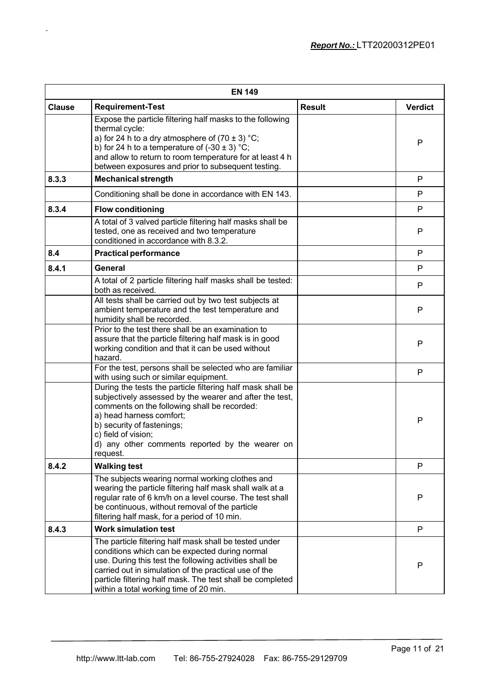|               | <b>EN 149</b>                                                                                                                                                                                                                                                                                                                       |               |                |  |
|---------------|-------------------------------------------------------------------------------------------------------------------------------------------------------------------------------------------------------------------------------------------------------------------------------------------------------------------------------------|---------------|----------------|--|
| <b>Clause</b> | <b>Requirement-Test</b>                                                                                                                                                                                                                                                                                                             | <b>Result</b> | <b>Verdict</b> |  |
|               | Expose the particle filtering half masks to the following<br>thermal cycle:<br>a) for 24 h to a dry atmosphere of $(70 \pm 3)$ °C;<br>b) for 24 h to a temperature of $(-30 \pm 3)$ °C;<br>and allow to return to room temperature for at least 4 h<br>between exposures and prior to subsequent testing.                           |               | P              |  |
| 8.3.3         | <b>Mechanical strength</b>                                                                                                                                                                                                                                                                                                          |               | P              |  |
|               | Conditioning shall be done in accordance with EN 143.                                                                                                                                                                                                                                                                               |               | P              |  |
| 8.3.4         | <b>Flow conditioning</b>                                                                                                                                                                                                                                                                                                            |               | P              |  |
|               | A total of 3 valved particle filtering half masks shall be<br>tested, one as received and two temperature<br>conditioned in accordance with 8.3.2.                                                                                                                                                                                  |               | P              |  |
| 8.4           | <b>Practical performance</b>                                                                                                                                                                                                                                                                                                        |               | P              |  |
| 8.4.1         | General                                                                                                                                                                                                                                                                                                                             |               | P              |  |
|               | A total of 2 particle filtering half masks shall be tested:<br>both as received.                                                                                                                                                                                                                                                    |               | P              |  |
|               | All tests shall be carried out by two test subjects at<br>ambient temperature and the test temperature and<br>humidity shall be recorded.                                                                                                                                                                                           |               | P              |  |
|               | Prior to the test there shall be an examination to<br>assure that the particle filtering half mask is in good<br>working condition and that it can be used without<br>hazard.                                                                                                                                                       |               | P              |  |
|               | For the test, persons shall be selected who are familiar<br>with using such or similar equipment.                                                                                                                                                                                                                                   |               | P              |  |
|               | During the tests the particle filtering half mask shall be<br>subjectively assessed by the wearer and after the test,<br>comments on the following shall be recorded:<br>a) head harness comfort;<br>b) security of fastenings;<br>c) field of vision;<br>d) any other comments reported by the wearer on<br>request.               |               | P              |  |
| 8.4.2         | <b>Walking test</b>                                                                                                                                                                                                                                                                                                                 |               | P              |  |
|               | The subjects wearing normal working clothes and<br>wearing the particle filtering half mask shall walk at a<br>regular rate of 6 km/h on a level course. The test shall<br>be continuous, without removal of the particle<br>filtering half mask, for a period of 10 min.                                                           |               | P              |  |
| 8.4.3         | <b>Work simulation test</b>                                                                                                                                                                                                                                                                                                         |               | P              |  |
|               | The particle filtering half mask shall be tested under<br>conditions which can be expected during normal<br>use. During this test the following activities shall be<br>carried out in simulation of the practical use of the<br>particle filtering half mask. The test shall be completed<br>within a total working time of 20 min. |               | P              |  |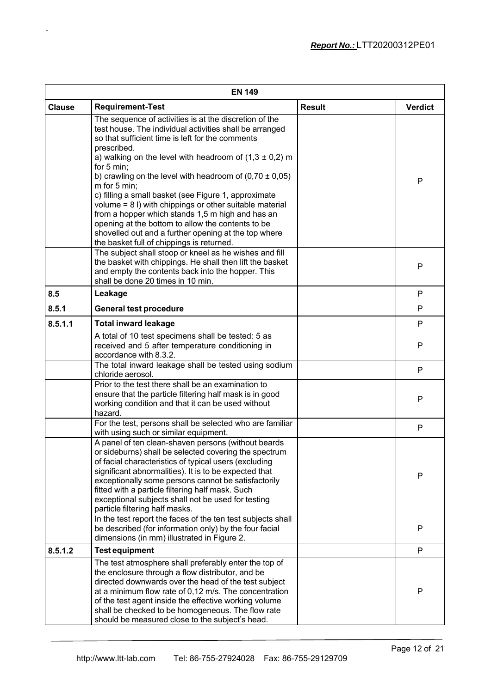|               | <b>EN 149</b>                                                                                                                                                                                                                                                                                                                                                                                                                                                                                                                                                                                                                                                                    |               |                |  |
|---------------|----------------------------------------------------------------------------------------------------------------------------------------------------------------------------------------------------------------------------------------------------------------------------------------------------------------------------------------------------------------------------------------------------------------------------------------------------------------------------------------------------------------------------------------------------------------------------------------------------------------------------------------------------------------------------------|---------------|----------------|--|
| <b>Clause</b> | <b>Requirement-Test</b>                                                                                                                                                                                                                                                                                                                                                                                                                                                                                                                                                                                                                                                          | <b>Result</b> | <b>Verdict</b> |  |
|               | The sequence of activities is at the discretion of the<br>test house. The individual activities shall be arranged<br>so that sufficient time is left for the comments<br>prescribed.<br>a) walking on the level with headroom of $(1,3 \pm 0,2)$ m<br>for 5 min;<br>b) crawling on the level with headroom of $(0.70 \pm 0.05)$<br>m for 5 min;<br>c) filling a small basket (see Figure 1, approximate<br>volume = 8 I) with chippings or other suitable material<br>from a hopper which stands 1,5 m high and has an<br>opening at the bottom to allow the contents to be<br>shovelled out and a further opening at the top where<br>the basket full of chippings is returned. |               | P              |  |
|               | The subject shall stoop or kneel as he wishes and fill<br>the basket with chippings. He shall then lift the basket<br>and empty the contents back into the hopper. This<br>shall be done 20 times in 10 min.                                                                                                                                                                                                                                                                                                                                                                                                                                                                     |               | P              |  |
| 8.5           | Leakage                                                                                                                                                                                                                                                                                                                                                                                                                                                                                                                                                                                                                                                                          |               | P              |  |
| 8.5.1         | <b>General test procedure</b>                                                                                                                                                                                                                                                                                                                                                                                                                                                                                                                                                                                                                                                    |               | P              |  |
| 8.5.1.1       | <b>Total inward leakage</b>                                                                                                                                                                                                                                                                                                                                                                                                                                                                                                                                                                                                                                                      |               | P              |  |
|               | A total of 10 test specimens shall be tested: 5 as<br>received and 5 after temperature conditioning in<br>accordance with 8.3.2.                                                                                                                                                                                                                                                                                                                                                                                                                                                                                                                                                 |               | P              |  |
|               | The total inward leakage shall be tested using sodium<br>chloride aerosol.                                                                                                                                                                                                                                                                                                                                                                                                                                                                                                                                                                                                       |               | P              |  |
|               | Prior to the test there shall be an examination to<br>ensure that the particle filtering half mask is in good<br>working condition and that it can be used without<br>hazard.                                                                                                                                                                                                                                                                                                                                                                                                                                                                                                    |               | P              |  |
|               | For the test, persons shall be selected who are familiar<br>with using such or similar equipment.                                                                                                                                                                                                                                                                                                                                                                                                                                                                                                                                                                                |               | P              |  |
|               | A panel of ten clean-shaven persons (without beards<br>or sideburns) shall be selected covering the spectrum<br>of facial characteristics of typical users (excluding<br>significant abnormalities). It is to be expected that<br>exceptionally some persons cannot be satisfactorily<br>fitted with a particle filtering half mask. Such<br>exceptional subjects shall not be used for testing<br>particle filtering half masks.                                                                                                                                                                                                                                                |               | P              |  |
|               | In the test report the faces of the ten test subjects shall<br>be described (for information only) by the four facial<br>dimensions (in mm) illustrated in Figure 2.                                                                                                                                                                                                                                                                                                                                                                                                                                                                                                             |               | P              |  |
| 8.5.1.2       | <b>Test equipment</b>                                                                                                                                                                                                                                                                                                                                                                                                                                                                                                                                                                                                                                                            |               | P              |  |
|               | The test atmosphere shall preferably enter the top of<br>the enclosure through a flow distributor, and be<br>directed downwards over the head of the test subject<br>at a minimum flow rate of 0,12 m/s. The concentration<br>of the test agent inside the effective working volume<br>shall be checked to be homogeneous. The flow rate<br>should be measured close to the subject's head.                                                                                                                                                                                                                                                                                      |               | P              |  |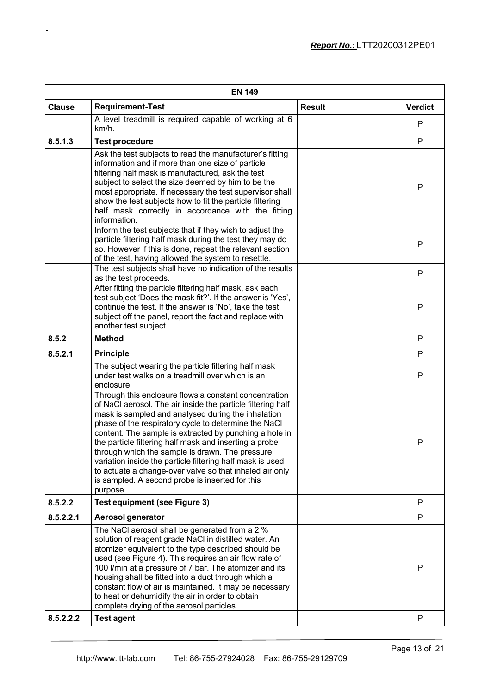| <b>EN 149</b> |                                                                                                                                                                                                                                                                                                                                                                                                                                                                                                                                                                                                  |               |                |  |
|---------------|--------------------------------------------------------------------------------------------------------------------------------------------------------------------------------------------------------------------------------------------------------------------------------------------------------------------------------------------------------------------------------------------------------------------------------------------------------------------------------------------------------------------------------------------------------------------------------------------------|---------------|----------------|--|
| <b>Clause</b> | <b>Requirement-Test</b>                                                                                                                                                                                                                                                                                                                                                                                                                                                                                                                                                                          | <b>Result</b> | <b>Verdict</b> |  |
|               | A level treadmill is required capable of working at 6<br>km/h.                                                                                                                                                                                                                                                                                                                                                                                                                                                                                                                                   |               | P              |  |
| 8.5.1.3       | <b>Test procedure</b>                                                                                                                                                                                                                                                                                                                                                                                                                                                                                                                                                                            |               | P              |  |
|               | Ask the test subjects to read the manufacturer's fitting<br>information and if more than one size of particle<br>filtering half mask is manufactured, ask the test<br>subject to select the size deemed by him to be the<br>most appropriate. If necessary the test supervisor shall<br>show the test subjects how to fit the particle filtering<br>half mask correctly in accordance with the fitting<br>information.                                                                                                                                                                           |               | P              |  |
|               | Inform the test subjects that if they wish to adjust the<br>particle filtering half mask during the test they may do<br>so. However if this is done, repeat the relevant section<br>of the test, having allowed the system to resettle.                                                                                                                                                                                                                                                                                                                                                          |               | P              |  |
|               | The test subjects shall have no indication of the results<br>as the test proceeds.                                                                                                                                                                                                                                                                                                                                                                                                                                                                                                               |               | P              |  |
|               | After fitting the particle filtering half mask, ask each<br>test subject 'Does the mask fit?'. If the answer is 'Yes',<br>continue the test. If the answer is 'No', take the test<br>subject off the panel, report the fact and replace with<br>another test subject.                                                                                                                                                                                                                                                                                                                            |               | P              |  |
| 8.5.2         | <b>Method</b>                                                                                                                                                                                                                                                                                                                                                                                                                                                                                                                                                                                    |               | P              |  |
| 8.5.2.1       | <b>Principle</b>                                                                                                                                                                                                                                                                                                                                                                                                                                                                                                                                                                                 |               | P              |  |
|               | The subject wearing the particle filtering half mask<br>under test walks on a treadmill over which is an<br>enclosure.                                                                                                                                                                                                                                                                                                                                                                                                                                                                           |               | P              |  |
|               | Through this enclosure flows a constant concentration<br>of NaCl aerosol. The air inside the particle filtering half<br>mask is sampled and analysed during the inhalation<br>phase of the respiratory cycle to determine the NaCl<br>content. The sample is extracted by punching a hole in<br>the particle filtering half mask and inserting a probe<br>through which the sample is drawn. The pressure<br>variation inside the particle filtering half mask is used<br>to actuate a change-over valve so that inhaled air only<br>is sampled. A second probe is inserted for this<br>purpose. |               | P              |  |
| 8.5.2.2       | <b>Test equipment (see Figure 3)</b>                                                                                                                                                                                                                                                                                                                                                                                                                                                                                                                                                             |               | P              |  |
| 8.5.2.2.1     | <b>Aerosol generator</b>                                                                                                                                                                                                                                                                                                                                                                                                                                                                                                                                                                         |               | P              |  |
|               | The NaCl aerosol shall be generated from a 2 %<br>solution of reagent grade NaCl in distilled water. An<br>atomizer equivalent to the type described should be<br>used (see Figure 4). This requires an air flow rate of<br>100 I/min at a pressure of 7 bar. The atomizer and its<br>housing shall be fitted into a duct through which a<br>constant flow of air is maintained. It may be necessary<br>to heat or dehumidify the air in order to obtain<br>complete drying of the aerosol particles.                                                                                            |               | P              |  |
| 8.5.2.2.2     | <b>Test agent</b>                                                                                                                                                                                                                                                                                                                                                                                                                                                                                                                                                                                |               | P              |  |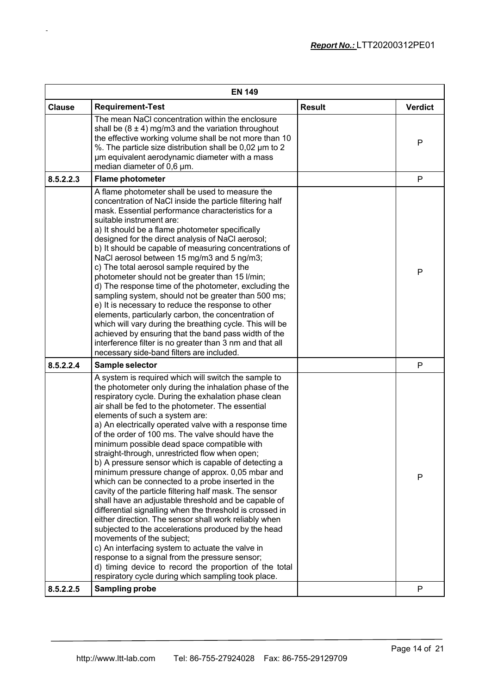| <b>Requirement-Test</b><br><b>Result</b><br><b>Verdict</b><br><b>Clause</b><br>The mean NaCl concentration within the enclosure<br>shall be $(8 \pm 4)$ mg/m3 and the variation throughout<br>the effective working volume shall be not more than 10<br>P<br>%. The particle size distribution shall be 0,02 µm to 2<br>µm equivalent aerodynamic diameter with a mass<br>median diameter of 0,6 µm.<br>P<br>8.5.2.2.3<br><b>Flame photometer</b><br>A flame photometer shall be used to measure the<br>concentration of NaCI inside the particle filtering half<br>mask. Essential performance characteristics for a<br>suitable instrument are:<br>a) It should be a flame photometer specifically<br>designed for the direct analysis of NaCl aerosol;<br>b) It should be capable of measuring concentrations of<br>NaCl aerosol between 15 mg/m3 and 5 ng/m3;<br>c) The total aerosol sample required by the<br>P<br>photometer should not be greater than 15 l/min;<br>d) The response time of the photometer, excluding the<br>sampling system, should not be greater than 500 ms;<br>e) It is necessary to reduce the response to other<br>elements, particularly carbon, the concentration of<br>which will vary during the breathing cycle. This will be<br>achieved by ensuring that the band pass width of the<br>interference filter is no greater than 3 nm and that all<br>necessary side-band filters are included.<br>8.5.2.2.4<br>P<br>Sample selector<br>A system is required which will switch the sample to<br>the photometer only during the inhalation phase of the<br>respiratory cycle. During the exhalation phase clean<br>air shall be fed to the photometer. The essential<br>elements of such a system are:<br>a) An electrically operated valve with a response time<br>of the order of 100 ms. The valve should have the<br>minimum possible dead space compatible with<br>straight-through, unrestricted flow when open;<br>b) A pressure sensor which is capable of detecting a<br>minimum pressure change of approx. 0,05 mbar and<br>P<br>which can be connected to a probe inserted in the<br>cavity of the particle filtering half mask. The sensor<br>shall have an adjustable threshold and be capable of<br>differential signalling when the threshold is crossed in<br>either direction. The sensor shall work reliably when<br>subjected to the accelerations produced by the head<br>movements of the subject;<br>c) An interfacing system to actuate the valve in<br>response to a signal from the pressure sensor;<br>d) timing device to record the proportion of the total<br>respiratory cycle during which sampling took place.<br><b>Sampling probe</b><br>8.5.2.2.5<br>P | <b>EN 149</b> |  |  |  |  |  |
|-----------------------------------------------------------------------------------------------------------------------------------------------------------------------------------------------------------------------------------------------------------------------------------------------------------------------------------------------------------------------------------------------------------------------------------------------------------------------------------------------------------------------------------------------------------------------------------------------------------------------------------------------------------------------------------------------------------------------------------------------------------------------------------------------------------------------------------------------------------------------------------------------------------------------------------------------------------------------------------------------------------------------------------------------------------------------------------------------------------------------------------------------------------------------------------------------------------------------------------------------------------------------------------------------------------------------------------------------------------------------------------------------------------------------------------------------------------------------------------------------------------------------------------------------------------------------------------------------------------------------------------------------------------------------------------------------------------------------------------------------------------------------------------------------------------------------------------------------------------------------------------------------------------------------------------------------------------------------------------------------------------------------------------------------------------------------------------------------------------------------------------------------------------------------------------------------------------------------------------------------------------------------------------------------------------------------------------------------------------------------------------------------------------------------------------------------------------------------------------------------------------------------------------------------------------------------------------------------------------------------------------------------------------------------------------------------------------------------------|---------------|--|--|--|--|--|
|                                                                                                                                                                                                                                                                                                                                                                                                                                                                                                                                                                                                                                                                                                                                                                                                                                                                                                                                                                                                                                                                                                                                                                                                                                                                                                                                                                                                                                                                                                                                                                                                                                                                                                                                                                                                                                                                                                                                                                                                                                                                                                                                                                                                                                                                                                                                                                                                                                                                                                                                                                                                                                                                                                                             |               |  |  |  |  |  |
|                                                                                                                                                                                                                                                                                                                                                                                                                                                                                                                                                                                                                                                                                                                                                                                                                                                                                                                                                                                                                                                                                                                                                                                                                                                                                                                                                                                                                                                                                                                                                                                                                                                                                                                                                                                                                                                                                                                                                                                                                                                                                                                                                                                                                                                                                                                                                                                                                                                                                                                                                                                                                                                                                                                             |               |  |  |  |  |  |
|                                                                                                                                                                                                                                                                                                                                                                                                                                                                                                                                                                                                                                                                                                                                                                                                                                                                                                                                                                                                                                                                                                                                                                                                                                                                                                                                                                                                                                                                                                                                                                                                                                                                                                                                                                                                                                                                                                                                                                                                                                                                                                                                                                                                                                                                                                                                                                                                                                                                                                                                                                                                                                                                                                                             |               |  |  |  |  |  |
|                                                                                                                                                                                                                                                                                                                                                                                                                                                                                                                                                                                                                                                                                                                                                                                                                                                                                                                                                                                                                                                                                                                                                                                                                                                                                                                                                                                                                                                                                                                                                                                                                                                                                                                                                                                                                                                                                                                                                                                                                                                                                                                                                                                                                                                                                                                                                                                                                                                                                                                                                                                                                                                                                                                             |               |  |  |  |  |  |
|                                                                                                                                                                                                                                                                                                                                                                                                                                                                                                                                                                                                                                                                                                                                                                                                                                                                                                                                                                                                                                                                                                                                                                                                                                                                                                                                                                                                                                                                                                                                                                                                                                                                                                                                                                                                                                                                                                                                                                                                                                                                                                                                                                                                                                                                                                                                                                                                                                                                                                                                                                                                                                                                                                                             |               |  |  |  |  |  |
|                                                                                                                                                                                                                                                                                                                                                                                                                                                                                                                                                                                                                                                                                                                                                                                                                                                                                                                                                                                                                                                                                                                                                                                                                                                                                                                                                                                                                                                                                                                                                                                                                                                                                                                                                                                                                                                                                                                                                                                                                                                                                                                                                                                                                                                                                                                                                                                                                                                                                                                                                                                                                                                                                                                             |               |  |  |  |  |  |
|                                                                                                                                                                                                                                                                                                                                                                                                                                                                                                                                                                                                                                                                                                                                                                                                                                                                                                                                                                                                                                                                                                                                                                                                                                                                                                                                                                                                                                                                                                                                                                                                                                                                                                                                                                                                                                                                                                                                                                                                                                                                                                                                                                                                                                                                                                                                                                                                                                                                                                                                                                                                                                                                                                                             |               |  |  |  |  |  |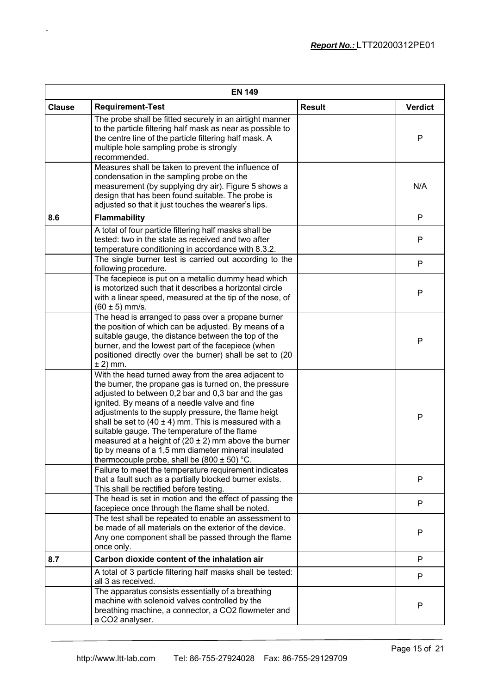| <b>EN 149</b> |                                                                                                                                                                                                                                                                                                                                                                                                                                                                                                                                                               |               |                |  |  |
|---------------|---------------------------------------------------------------------------------------------------------------------------------------------------------------------------------------------------------------------------------------------------------------------------------------------------------------------------------------------------------------------------------------------------------------------------------------------------------------------------------------------------------------------------------------------------------------|---------------|----------------|--|--|
| <b>Clause</b> | <b>Requirement-Test</b>                                                                                                                                                                                                                                                                                                                                                                                                                                                                                                                                       | <b>Result</b> | <b>Verdict</b> |  |  |
|               | The probe shall be fitted securely in an airtight manner<br>to the particle filtering half mask as near as possible to<br>the centre line of the particle filtering half mask. A<br>multiple hole sampling probe is strongly<br>recommended.                                                                                                                                                                                                                                                                                                                  |               | P              |  |  |
|               | Measures shall be taken to prevent the influence of<br>condensation in the sampling probe on the<br>measurement (by supplying dry air). Figure 5 shows a<br>design that has been found suitable. The probe is<br>adjusted so that it just touches the wearer's lips.                                                                                                                                                                                                                                                                                          |               | N/A            |  |  |
| 8.6           | <b>Flammability</b>                                                                                                                                                                                                                                                                                                                                                                                                                                                                                                                                           |               | P              |  |  |
|               | A total of four particle filtering half masks shall be<br>tested: two in the state as received and two after<br>temperature conditioning in accordance with 8.3.2.                                                                                                                                                                                                                                                                                                                                                                                            |               | P              |  |  |
|               | The single burner test is carried out according to the<br>following procedure.                                                                                                                                                                                                                                                                                                                                                                                                                                                                                |               | $\mathsf{P}$   |  |  |
|               | The facepiece is put on a metallic dummy head which<br>is motorized such that it describes a horizontal circle<br>with a linear speed, measured at the tip of the nose, of<br>$(60 \pm 5)$ mm/s.                                                                                                                                                                                                                                                                                                                                                              |               | P              |  |  |
|               | The head is arranged to pass over a propane burner<br>the position of which can be adjusted. By means of a<br>suitable gauge, the distance between the top of the<br>burner, and the lowest part of the facepiece (when<br>positioned directly over the burner) shall be set to (20<br>$\pm$ 2) mm.                                                                                                                                                                                                                                                           |               | P              |  |  |
|               | With the head turned away from the area adjacent to<br>the burner, the propane gas is turned on, the pressure<br>adjusted to between 0,2 bar and 0,3 bar and the gas<br>ignited. By means of a needle valve and fine<br>adjustments to the supply pressure, the flame heigt<br>shall be set to $(40 \pm 4)$ mm. This is measured with a<br>suitable gauge. The temperature of the flame<br>measured at a height of $(20 \pm 2)$ mm above the burner<br>tip by means of a 1,5 mm diameter mineral insulated<br>thermocouple probe, shall be $(800 \pm 50)$ °C. |               | $\mathsf{P}$   |  |  |
|               | Failure to meet the temperature requirement indicates<br>that a fault such as a partially blocked burner exists.<br>This shall be rectified before testing.                                                                                                                                                                                                                                                                                                                                                                                                   |               | P              |  |  |
|               | The head is set in motion and the effect of passing the<br>facepiece once through the flame shall be noted.                                                                                                                                                                                                                                                                                                                                                                                                                                                   |               | $\mathsf{P}$   |  |  |
|               | The test shall be repeated to enable an assessment to<br>be made of all materials on the exterior of the device.<br>Any one component shall be passed through the flame<br>once only.                                                                                                                                                                                                                                                                                                                                                                         |               | P              |  |  |
| 8.7           | Carbon dioxide content of the inhalation air                                                                                                                                                                                                                                                                                                                                                                                                                                                                                                                  |               | P              |  |  |
|               | A total of 3 particle filtering half masks shall be tested:<br>all 3 as received.                                                                                                                                                                                                                                                                                                                                                                                                                                                                             |               | P              |  |  |
|               | The apparatus consists essentially of a breathing<br>machine with solenoid valves controlled by the<br>breathing machine, a connector, a CO2 flowmeter and<br>a CO2 analyser.                                                                                                                                                                                                                                                                                                                                                                                 |               | P              |  |  |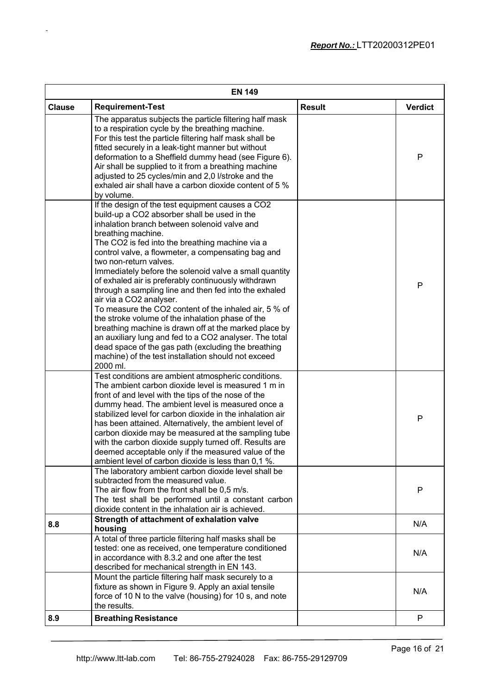| <b>EN 149</b> |                                                                                                                                                                                                                                                                                                                                                                                                                                                                                                                                                                                                                                                                                                                                                                                                                                                                          |               |                |  |  |
|---------------|--------------------------------------------------------------------------------------------------------------------------------------------------------------------------------------------------------------------------------------------------------------------------------------------------------------------------------------------------------------------------------------------------------------------------------------------------------------------------------------------------------------------------------------------------------------------------------------------------------------------------------------------------------------------------------------------------------------------------------------------------------------------------------------------------------------------------------------------------------------------------|---------------|----------------|--|--|
| <b>Clause</b> | <b>Requirement-Test</b>                                                                                                                                                                                                                                                                                                                                                                                                                                                                                                                                                                                                                                                                                                                                                                                                                                                  | <b>Result</b> | <b>Verdict</b> |  |  |
|               | The apparatus subjects the particle filtering half mask<br>to a respiration cycle by the breathing machine.<br>For this test the particle filtering half mask shall be<br>fitted securely in a leak-tight manner but without<br>deformation to a Sheffield dummy head (see Figure 6).<br>Air shall be supplied to it from a breathing machine<br>adjusted to 25 cycles/min and 2,0 l/stroke and the<br>exhaled air shall have a carbon dioxide content of 5 %<br>by volume.                                                                                                                                                                                                                                                                                                                                                                                              |               | P              |  |  |
|               | If the design of the test equipment causes a CO2<br>build-up a CO2 absorber shall be used in the<br>inhalation branch between solenoid valve and<br>breathing machine.<br>The CO2 is fed into the breathing machine via a<br>control valve, a flowmeter, a compensating bag and<br>two non-return valves.<br>Immediately before the solenoid valve a small quantity<br>of exhaled air is preferably continuously withdrawn<br>through a sampling line and then fed into the exhaled<br>air via a CO2 analyser.<br>To measure the CO2 content of the inhaled air, 5 % of<br>the stroke volume of the inhalation phase of the<br>breathing machine is drawn off at the marked place by<br>an auxiliary lung and fed to a CO2 analyser. The total<br>dead space of the gas path (excluding the breathing<br>machine) of the test installation should not exceed<br>2000 ml. |               | P              |  |  |
|               | Test conditions are ambient atmospheric conditions.<br>The ambient carbon dioxide level is measured 1 m in<br>front of and level with the tips of the nose of the<br>dummy head. The ambient level is measured once a<br>stabilized level for carbon dioxide in the inhalation air<br>has been attained. Alternatively, the ambient level of<br>carbon dioxide may be measured at the sampling tube<br>with the carbon dioxide supply turned off. Results are<br>deemed acceptable only if the measured value of the<br>ambient level of carbon dioxide is less than 0,1 %.                                                                                                                                                                                                                                                                                              |               | P              |  |  |
|               | The laboratory ambient carbon dioxide level shall be<br>subtracted from the measured value.<br>The air flow from the front shall be 0,5 m/s.<br>The test shall be performed until a constant carbon<br>dioxide content in the inhalation air is achieved.                                                                                                                                                                                                                                                                                                                                                                                                                                                                                                                                                                                                                |               | $\mathsf{P}$   |  |  |
| 8.8           | Strength of attachment of exhalation valve<br>housing                                                                                                                                                                                                                                                                                                                                                                                                                                                                                                                                                                                                                                                                                                                                                                                                                    |               | N/A            |  |  |
|               | A total of three particle filtering half masks shall be<br>tested: one as received, one temperature conditioned<br>in accordance with 8.3.2 and one after the test<br>described for mechanical strength in EN 143.                                                                                                                                                                                                                                                                                                                                                                                                                                                                                                                                                                                                                                                       |               | N/A            |  |  |
|               | Mount the particle filtering half mask securely to a<br>fixture as shown in Figure 9. Apply an axial tensile<br>force of 10 N to the valve (housing) for 10 s, and note<br>the results.                                                                                                                                                                                                                                                                                                                                                                                                                                                                                                                                                                                                                                                                                  |               | N/A            |  |  |
| 8.9           | <b>Breathing Resistance</b>                                                                                                                                                                                                                                                                                                                                                                                                                                                                                                                                                                                                                                                                                                                                                                                                                                              |               | $\mathsf{P}$   |  |  |
|               |                                                                                                                                                                                                                                                                                                                                                                                                                                                                                                                                                                                                                                                                                                                                                                                                                                                                          |               |                |  |  |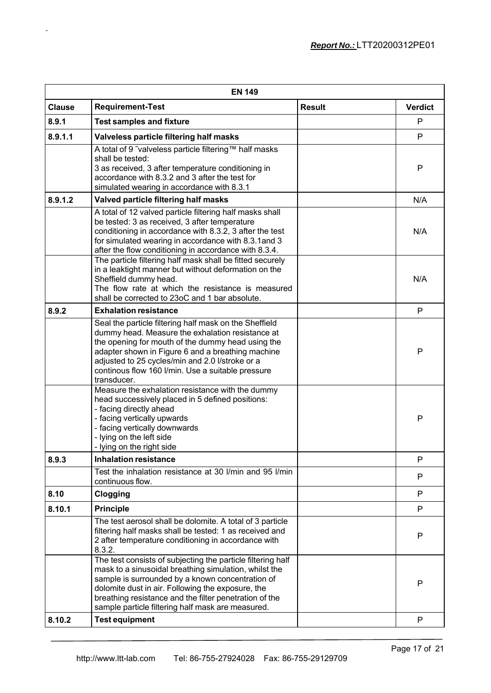| <b>EN 149</b> |                                                                                                                                                                                                                                                                                                                                              |               |                |  |
|---------------|----------------------------------------------------------------------------------------------------------------------------------------------------------------------------------------------------------------------------------------------------------------------------------------------------------------------------------------------|---------------|----------------|--|
| <b>Clause</b> | <b>Requirement-Test</b>                                                                                                                                                                                                                                                                                                                      | <b>Result</b> | <b>Verdict</b> |  |
| 8.9.1         | <b>Test samples and fixture</b>                                                                                                                                                                                                                                                                                                              |               | P              |  |
| 8.9.1.1       | Valveless particle filtering half masks                                                                                                                                                                                                                                                                                                      |               | P              |  |
|               | A total of 9 ~valveless particle filtering™ half masks<br>shall be tested:<br>3 as received, 3 after temperature conditioning in<br>accordance with 8.3.2 and 3 after the test for<br>simulated wearing in accordance with 8.3.1                                                                                                             |               | P              |  |
| 8.9.1.2       | Valved particle filtering half masks                                                                                                                                                                                                                                                                                                         |               | N/A            |  |
|               | A total of 12 valved particle filtering half masks shall<br>be tested: 3 as received, 3 after temperature<br>conditioning in accordance with 8.3.2, 3 after the test<br>for simulated wearing in accordance with 8.3.1 and 3<br>after the flow conditioning in accordance with 8.3.4.                                                        |               | N/A            |  |
|               | The particle filtering half mask shall be fitted securely<br>in a leaktight manner but without deformation on the<br>Sheffield dummy head.<br>The flow rate at which the resistance is measured<br>shall be corrected to 23oC and 1 bar absolute.                                                                                            |               | N/A            |  |
| 8.9.2         | <b>Exhalation resistance</b>                                                                                                                                                                                                                                                                                                                 |               | $\mathsf{P}$   |  |
|               | Seal the particle filtering half mask on the Sheffield<br>dummy head. Measure the exhalation resistance at<br>the opening for mouth of the dummy head using the<br>adapter shown in Figure 6 and a breathing machine<br>adjusted to 25 cycles/min and 2.0 l/stroke or a<br>continous flow 160 I/min. Use a suitable pressure<br>transducer.  |               | P              |  |
|               | Measure the exhalation resistance with the dummy<br>head successively placed in 5 defined positions:<br>- facing directly ahead<br>- facing vertically upwards<br>- facing vertically downwards<br>- lying on the left side<br>- lying on the right side                                                                                     |               | P              |  |
| 8.9.3         | <b>Inhalation resistance</b>                                                                                                                                                                                                                                                                                                                 |               | P              |  |
|               | Test the inhalation resistance at 30 I/min and 95 I/min<br>continuous flow.                                                                                                                                                                                                                                                                  |               | P              |  |
| 8.10          | Clogging                                                                                                                                                                                                                                                                                                                                     |               | P              |  |
| 8.10.1        | <b>Principle</b>                                                                                                                                                                                                                                                                                                                             |               | P              |  |
|               | The test aerosol shall be dolomite. A total of 3 particle<br>filtering half masks shall be tested: 1 as received and<br>2 after temperature conditioning in accordance with<br>8.3.2.                                                                                                                                                        |               | P              |  |
|               | The test consists of subjecting the particle filtering half<br>mask to a sinusoidal breathing simulation, whilst the<br>sample is surrounded by a known concentration of<br>dolomite dust in air. Following the exposure, the<br>breathing resistance and the filter penetration of the<br>sample particle filtering half mask are measured. |               | P              |  |
| 8.10.2        | <b>Test equipment</b>                                                                                                                                                                                                                                                                                                                        |               | P              |  |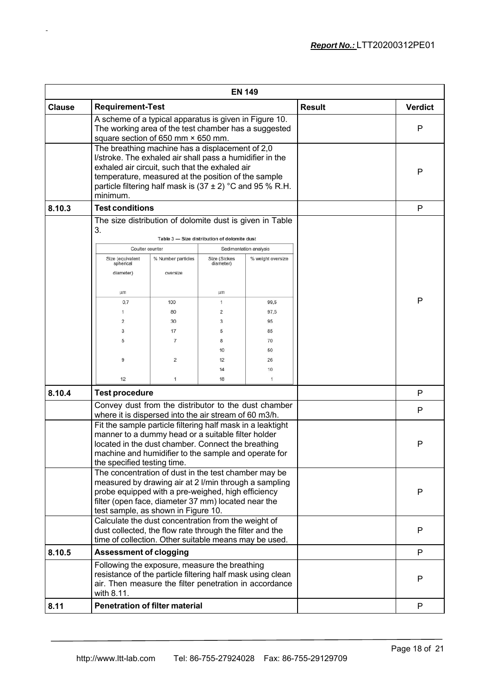|               |                                                                                                                                                                                                                                                                                                                                                                                |                                |                                              | <b>EN 149</b>          |                |   |
|---------------|--------------------------------------------------------------------------------------------------------------------------------------------------------------------------------------------------------------------------------------------------------------------------------------------------------------------------------------------------------------------------------|--------------------------------|----------------------------------------------|------------------------|----------------|---|
| <b>Clause</b> | <b>Requirement-Test</b>                                                                                                                                                                                                                                                                                                                                                        |                                |                                              | <b>Result</b>          | <b>Verdict</b> |   |
|               | A scheme of a typical apparatus is given in Figure 10.<br>The working area of the test chamber has a suggested<br>square section of 650 mm × 650 mm.                                                                                                                                                                                                                           |                                |                                              |                        |                | P |
|               | The breathing machine has a displacement of 2,0<br>I/stroke. The exhaled air shall pass a humidifier in the<br>exhaled air circuit, such that the exhaled air<br>temperature, measured at the position of the sample<br>particle filtering half mask is $(37 \pm 2)$ °C and 95 % R.H.<br>minimum.                                                                              |                                |                                              |                        |                | P |
| 8.10.3        | <b>Test conditions</b>                                                                                                                                                                                                                                                                                                                                                         |                                |                                              |                        |                | P |
|               | The size distribution of dolomite dust is given in Table                                                                                                                                                                                                                                                                                                                       |                                |                                              |                        |                |   |
|               | 3.                                                                                                                                                                                                                                                                                                                                                                             |                                | Table 3 - Size distribution of dolomite dust |                        |                |   |
|               | Coulter counter                                                                                                                                                                                                                                                                                                                                                                |                                |                                              | Sedimentation analysis |                |   |
|               | Size (equivalent<br>spherical<br>diameter)                                                                                                                                                                                                                                                                                                                                     | % Number particles<br>oversize | Size (Stokes<br>diameter)                    | % weight oversize      |                |   |
|               | μm                                                                                                                                                                                                                                                                                                                                                                             |                                | μm                                           |                        |                |   |
|               | 0,7                                                                                                                                                                                                                                                                                                                                                                            | 100                            | 1                                            | 99,5                   |                | P |
|               | 1                                                                                                                                                                                                                                                                                                                                                                              | 80                             | 2                                            | 97,5                   |                |   |
|               | 2                                                                                                                                                                                                                                                                                                                                                                              | 30                             | 3                                            | 95                     |                |   |
|               | 3                                                                                                                                                                                                                                                                                                                                                                              | 17                             | 5                                            | 85                     |                |   |
|               | 5                                                                                                                                                                                                                                                                                                                                                                              | $\overline{7}$                 | 8                                            | 70                     |                |   |
|               |                                                                                                                                                                                                                                                                                                                                                                                |                                | 10                                           | 50                     |                |   |
|               | 9                                                                                                                                                                                                                                                                                                                                                                              | 2                              | 12                                           | 26                     |                |   |
|               | 12                                                                                                                                                                                                                                                                                                                                                                             |                                | 14<br>18                                     | 10                     |                |   |
|               |                                                                                                                                                                                                                                                                                                                                                                                | 1                              |                                              | 1                      |                |   |
| 8.10.4        | <b>Test procedure</b>                                                                                                                                                                                                                                                                                                                                                          |                                |                                              |                        |                | P |
|               | Convey dust from the distributor to the dust chamber<br>where it is dispersed into the air stream of 60 m3/h.<br>Fit the sample particle filtering half mask in a leaktight<br>manner to a dummy head or a suitable filter holder<br>located in the dust chamber. Connect the breathing<br>machine and humidifier to the sample and operate for<br>the specified testing time. |                                |                                              |                        | P              |   |
|               |                                                                                                                                                                                                                                                                                                                                                                                |                                |                                              |                        | P              |   |
|               | The concentration of dust in the test chamber may be<br>measured by drawing air at 2 I/min through a sampling<br>probe equipped with a pre-weighed, high efficiency<br>filter (open face, diameter 37 mm) located near the<br>test sample, as shown in Figure 10.                                                                                                              |                                |                                              |                        | P              |   |
|               | Calculate the dust concentration from the weight of<br>dust collected, the flow rate through the filter and the<br>time of collection. Other suitable means may be used.                                                                                                                                                                                                       |                                |                                              |                        |                | P |
| 8.10.5        | <b>Assessment of clogging</b>                                                                                                                                                                                                                                                                                                                                                  |                                |                                              |                        |                | P |
|               | Following the exposure, measure the breathing<br>resistance of the particle filtering half mask using clean<br>air. Then measure the filter penetration in accordance<br>with 8.11.                                                                                                                                                                                            |                                |                                              |                        |                | P |
| 8.11          | <b>Penetration of filter material</b>                                                                                                                                                                                                                                                                                                                                          |                                |                                              |                        | P              |   |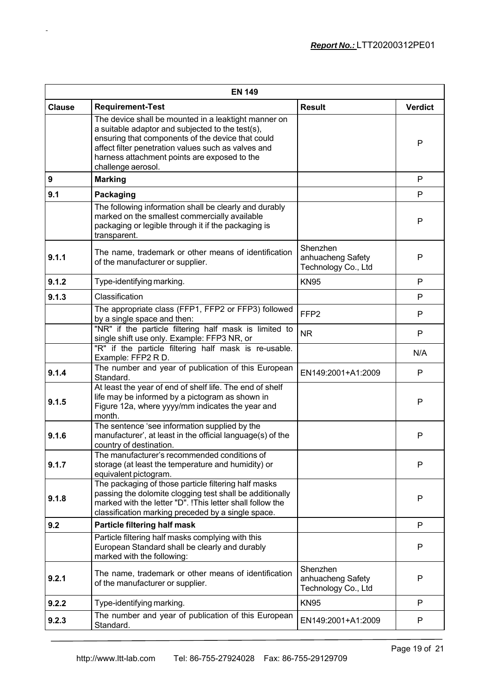| <b>EN 149</b>    |                                                                                                                                                                                                                                                                                            |                                                      |                |  |  |
|------------------|--------------------------------------------------------------------------------------------------------------------------------------------------------------------------------------------------------------------------------------------------------------------------------------------|------------------------------------------------------|----------------|--|--|
| <b>Clause</b>    | <b>Requirement-Test</b>                                                                                                                                                                                                                                                                    | <b>Result</b>                                        | <b>Verdict</b> |  |  |
|                  | The device shall be mounted in a leaktight manner on<br>a suitable adaptor and subjected to the test(s),<br>ensuring that components of the device that could<br>affect filter penetration values such as valves and<br>harness attachment points are exposed to the<br>challenge aerosol. |                                                      | P              |  |  |
| $\boldsymbol{9}$ | <b>Marking</b>                                                                                                                                                                                                                                                                             |                                                      | P              |  |  |
| 9.1              | Packaging                                                                                                                                                                                                                                                                                  |                                                      | P              |  |  |
|                  | The following information shall be clearly and durably<br>marked on the smallest commercially available<br>packaging or legible through it if the packaging is<br>transparent.                                                                                                             |                                                      | P              |  |  |
| 9.1.1            | The name, trademark or other means of identification<br>of the manufacturer or supplier.                                                                                                                                                                                                   | Shenzhen<br>anhuacheng Safety<br>Technology Co., Ltd | P              |  |  |
| 9.1.2            | Type-identifying marking.                                                                                                                                                                                                                                                                  | <b>KN95</b>                                          | P              |  |  |
| 9.1.3            | Classification                                                                                                                                                                                                                                                                             |                                                      | P              |  |  |
|                  | The appropriate class (FFP1, FFP2 or FFP3) followed<br>by a single space and then:                                                                                                                                                                                                         | FFP <sub>2</sub>                                     | P              |  |  |
|                  | "NR" if the particle filtering half mask is limited to<br>single shift use only. Example: FFP3 NR, or                                                                                                                                                                                      | <b>NR</b>                                            | P              |  |  |
|                  | "R" if the particle filtering half mask is re-usable.<br>Example: FFP2 R D.                                                                                                                                                                                                                |                                                      | N/A            |  |  |
| 9.1.4            | The number and year of publication of this European<br>Standard.                                                                                                                                                                                                                           | EN149:2001+A1:2009                                   | P              |  |  |
| 9.1.5            | At least the year of end of shelf life. The end of shelf<br>life may be informed by a pictogram as shown in<br>Figure 12a, where yyyy/mm indicates the year and<br>month.                                                                                                                  |                                                      | P              |  |  |
| 9.1.6            | The sentence 'see information supplied by the<br>manufacturer', at least in the official language(s) of the<br>country of destination.                                                                                                                                                     |                                                      | P              |  |  |
| 9.1.7            | The manufacturer's recommended conditions of<br>storage (at least the temperature and humidity) or<br>equivalent pictogram.                                                                                                                                                                |                                                      | P              |  |  |
| 9.1.8            | The packaging of those particle filtering half masks<br>passing the dolomite clogging test shall be additionally<br>marked with the letter "D". !This letter shall follow the<br>classification marking preceded by a single space.                                                        |                                                      | P              |  |  |
| 9.2              | Particle filtering half mask                                                                                                                                                                                                                                                               |                                                      | P              |  |  |
|                  | Particle filtering half masks complying with this<br>European Standard shall be clearly and durably<br>marked with the following:                                                                                                                                                          |                                                      | P              |  |  |
| 9.2.1            | The name, trademark or other means of identification<br>of the manufacturer or supplier.                                                                                                                                                                                                   | Shenzhen<br>anhuacheng Safety<br>Technology Co., Ltd | P              |  |  |
| 9.2.2            | Type-identifying marking.<br><b>KN95</b>                                                                                                                                                                                                                                                   |                                                      | P              |  |  |
| 9.2.3            | The number and year of publication of this European<br>Standard.                                                                                                                                                                                                                           | EN149:2001+A1:2009                                   | P              |  |  |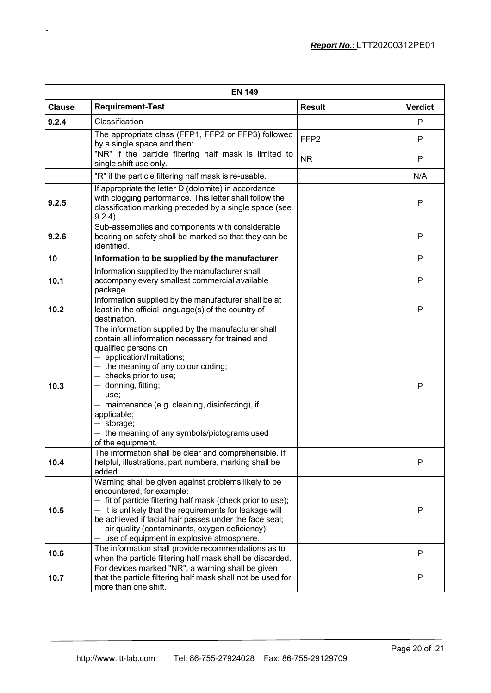| <b>EN 149</b> |                                                                                                                                                                                                                                                                                                                                                                                                                                |                  |                |  |  |
|---------------|--------------------------------------------------------------------------------------------------------------------------------------------------------------------------------------------------------------------------------------------------------------------------------------------------------------------------------------------------------------------------------------------------------------------------------|------------------|----------------|--|--|
| <b>Clause</b> | <b>Requirement-Test</b>                                                                                                                                                                                                                                                                                                                                                                                                        | <b>Result</b>    | <b>Verdict</b> |  |  |
| 9.2.4         | Classification                                                                                                                                                                                                                                                                                                                                                                                                                 |                  | P              |  |  |
|               | The appropriate class (FFP1, FFP2 or FFP3) followed<br>by a single space and then:                                                                                                                                                                                                                                                                                                                                             | FFP <sub>2</sub> | P              |  |  |
|               | "NR" if the particle filtering half mask is limited to<br>single shift use only.                                                                                                                                                                                                                                                                                                                                               | <b>NR</b>        | P              |  |  |
|               | "R" if the particle filtering half mask is re-usable.                                                                                                                                                                                                                                                                                                                                                                          |                  | N/A            |  |  |
| 9.2.5         | If appropriate the letter D (dolomite) in accordance<br>with clogging performance. This letter shall follow the<br>classification marking preceded by a single space (see<br>$9.2.4$ ).                                                                                                                                                                                                                                        |                  | P              |  |  |
| 9.2.6         | Sub-assemblies and components with considerable<br>bearing on safety shall be marked so that they can be<br>identified.                                                                                                                                                                                                                                                                                                        |                  | P              |  |  |
| 10            | Information to be supplied by the manufacturer                                                                                                                                                                                                                                                                                                                                                                                 |                  | P              |  |  |
| 10.1          | Information supplied by the manufacturer shall<br>accompany every smallest commercial available<br>package.                                                                                                                                                                                                                                                                                                                    |                  | P              |  |  |
| 10.2          | Information supplied by the manufacturer shall be at<br>least in the official language(s) of the country of<br>destination.                                                                                                                                                                                                                                                                                                    |                  | P              |  |  |
| 10.3          | The information supplied by the manufacturer shall<br>contain all information necessary for trained and<br>qualified persons on<br>$-$ application/limitations;<br>$-$ the meaning of any colour coding;<br>$-$ checks prior to use;<br>- donning, fitting;<br>$-$ use;<br>- maintenance (e.g. cleaning, disinfecting), if<br>applicable;<br>$-$ storage;<br>- the meaning of any symbols/pictograms used<br>of the equipment. |                  | P              |  |  |
| 10.4          | The information shall be clear and comprehensible. If<br>helpful, illustrations, part numbers, marking shall be<br>added.                                                                                                                                                                                                                                                                                                      |                  | P              |  |  |
| 10.5          | Warning shall be given against problems likely to be<br>encountered, for example:<br>- fit of particle filtering half mask (check prior to use);<br>$-$ it is unlikely that the requirements for leakage will<br>be achieved if facial hair passes under the face seal;<br>- air quality (contaminants, oxygen deficiency);<br>- use of equipment in explosive atmosphere.                                                     |                  | P              |  |  |
| 10.6          | The information shall provide recommendations as to<br>when the particle filtering half mask shall be discarded.                                                                                                                                                                                                                                                                                                               |                  | $\mathsf{P}$   |  |  |
| 10.7          | For devices marked "NR", a warning shall be given<br>that the particle filtering half mask shall not be used for<br>more than one shift.                                                                                                                                                                                                                                                                                       |                  | $\mathsf{P}$   |  |  |